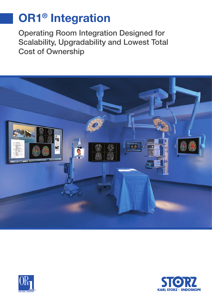# **OR1® Integration**

Operating Room Integration Designed for Scalability, Upgradability and Lowest Total Cost of Ownership





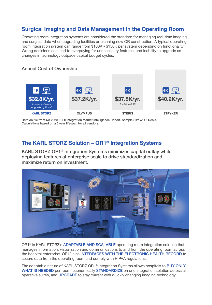## **Surgical Imaging and Data Management in the Operating Room**

Operating room integration systems are considered the standard for managing real-time imaging and surgical data when upgrading facilities or planning new OR construction. A typical operating room integration system can range from \$100K - \$150K per system depending on functionality. Wrong decisions can lead to overpaying for unnecessary features, and inability to upgrade as changes in technology outpace capital budget cycles.

#### Annual Cost of Ownership



Data on file from Q3 2020 ECRI Integration Market Intelligence Report. Sample Size =116 Deals. Calculations based on a 5 year lifespan for all vendors.

### **The KARL STORZ Solution – OR1® Integration Systems**

KARL STORZ OR1® Integration Systems minimizes capital outlay while deploying features at enterprise scale to drive standardization and maximize return on investment.



OR1<sup>®</sup> is KARL STORZ's ADAPTABLE AND SCALABLE operating room integration solution that manages information, visualization and communications to and from the operating room across the hospital enterprise. OR1<sup>®</sup> also INTERFACES WITH THE ELECTRONIC HEALTH RECORD to secure data from the operating room and comply with HIPAA regulations.

The adaptable nature of KARL STORZ OR1<sup>®</sup> Integration Systems allows hospitals to BUY ONLY WHAT IS NEEDED per room, economically STANDARDIZE on one integration solution across all operative suites, and UPGRADE to stay current with quickly changing imaging technology.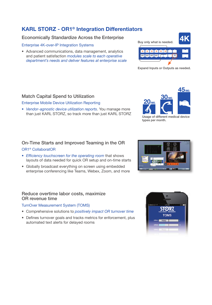# **KARL STORZ - OR1® Integration Differentiators**

#### Economically Standardize Across the Enterprise

#### Enterprise 4K-over-IP Integration Systems

• Advanced communications, data management, analytics and patient satisfaction *modules scale to each operative department's needs and deliver features at enterprise scale*

#### Match Capital Spend to Utilization

#### Enterprise Mobile Device Utilization Reporting

*• Vendor - agnostic device utilization reports*. You manage more than just KARL STORZ, so track more than just KARL STORZ

# On-Time Starts and Improved Teaming in the OR

#### OR1® CollaboratOR

- *Efficiency touchscreen for the operating room that shows* layouts of data needed for quick OR setup and on-time starts
- Globally broadcast everything on screen using embedded enterprise conferencing like Teams, Webex, Zoom, and more

#### Reduce overtime labor costs, maximize OR revenue time

#### TurnOver Measurement System (TOMS)

- Comprehensive solutions to *positively impact OR turnover time*
- Defines turnover goals and tracks metrics for enforcement, plus automated text alerts for delayed rooms



Expand Inputs or Outputs as needed.



Usage of different medical device types per month.